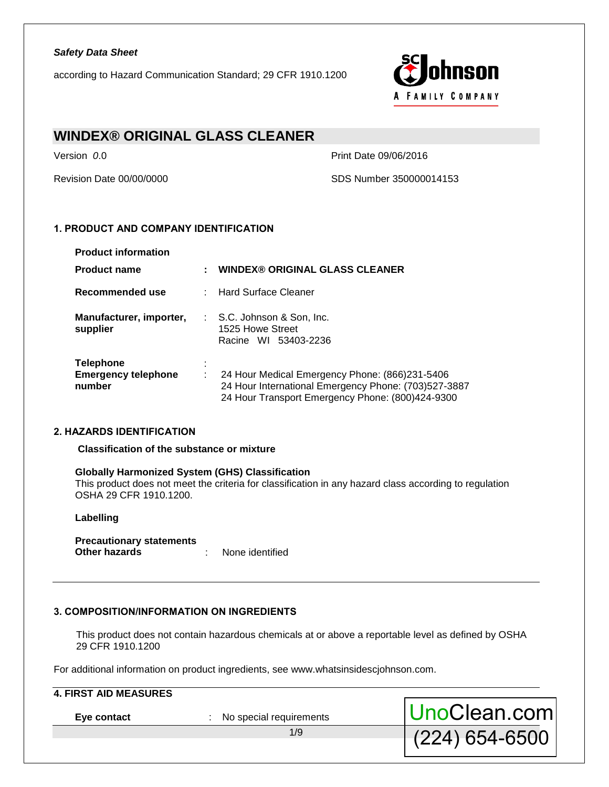according to Hazard Communication Standard; 29 CFR 1910.1200



(224) 654-6500

# **WINDEX® ORIGINAL GLASS CLEANER**

Version *0*.0 Print Date 09/06/2016

Revision Date 00/00/0000 SDS Number 350000014153

# **1. PRODUCT AND COMPANY IDENTIFICATION**

| <b>Product information</b>                               |   |                                                                                                                                                            |
|----------------------------------------------------------|---|------------------------------------------------------------------------------------------------------------------------------------------------------------|
| <b>Product name</b>                                      | ÷ | <b>WINDEX® ORIGINAL GLASS CLEANER</b>                                                                                                                      |
| Recommended use                                          |   | : Hard Surface Cleaner                                                                                                                                     |
| Manufacturer, importer,<br>supplier                      |   | : S.C. Johnson & Son, Inc.<br>1525 Howe Street<br>Racine WI 53403-2236                                                                                     |
| <b>Telephone</b><br><b>Emergency telephone</b><br>number |   | 24 Hour Medical Emergency Phone: (866)231-5406<br>24 Hour International Emergency Phone: (703)527-3887<br>24 Hour Transport Emergency Phone: (800)424-9300 |

# **2. HAZARDS IDENTIFICATION**

**Classification of the substance or mixture** 

#### **Globally Harmonized System (GHS) Classification**

This product does not meet the criteria for classification in any hazard class according to regulation OSHA 29 CFR 1910.1200.

#### **Labelling**

**Precautionary statements Other hazards** : None identified

# **3. COMPOSITION/INFORMATION ON INGREDIENTS**

This product does not contain hazardous chemicals at or above a reportable level as defined by OSHA 29 CFR 1910.1200

For additional information on product ingredients, see www.whatsinsidescjohnson.com.

| <b>4. FIRST AID MEASURES</b> |                         |              |
|------------------------------|-------------------------|--------------|
| Eye contact                  | No special requirements | UnoClean.com |

1/9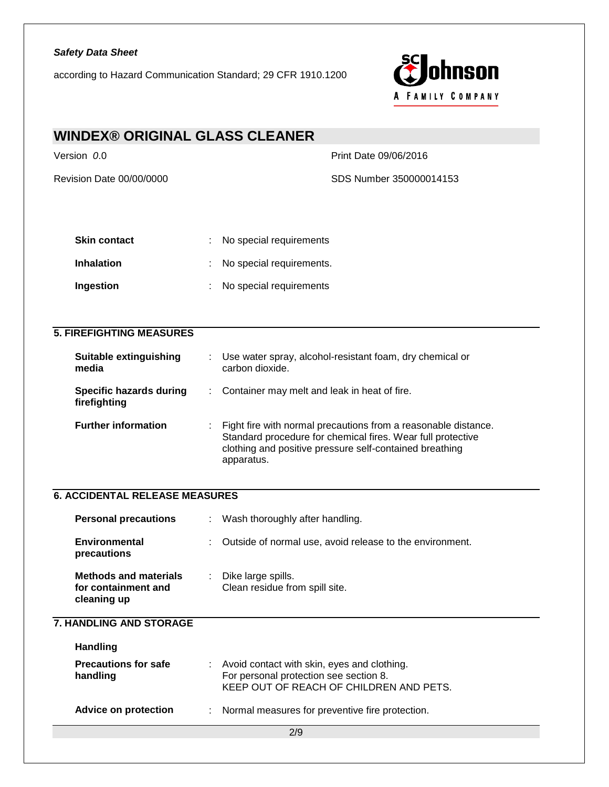according to Hazard Communication Standard; 29 CFR 1910.1200



| <b>WINDEX® ORIGINAL GLASS CLEANER</b>                              |                                                                                                                                                                                                        |  |
|--------------------------------------------------------------------|--------------------------------------------------------------------------------------------------------------------------------------------------------------------------------------------------------|--|
| Version 0.0                                                        | Print Date 09/06/2016                                                                                                                                                                                  |  |
| Revision Date 00/00/0000                                           | SDS Number 350000014153                                                                                                                                                                                |  |
|                                                                    |                                                                                                                                                                                                        |  |
|                                                                    |                                                                                                                                                                                                        |  |
| <b>Skin contact</b>                                                | No special requirements                                                                                                                                                                                |  |
| <b>Inhalation</b>                                                  | No special requirements.                                                                                                                                                                               |  |
| Ingestion                                                          | No special requirements                                                                                                                                                                                |  |
|                                                                    |                                                                                                                                                                                                        |  |
| <b>5. FIREFIGHTING MEASURES</b>                                    |                                                                                                                                                                                                        |  |
| <b>Suitable extinguishing</b><br>media                             | Use water spray, alcohol-resistant foam, dry chemical or<br>carbon dioxide.                                                                                                                            |  |
| <b>Specific hazards during</b><br>firefighting                     | Container may melt and leak in heat of fire.                                                                                                                                                           |  |
| <b>Further information</b>                                         | Fight fire with normal precautions from a reasonable distance.<br>Standard procedure for chemical fires. Wear full protective<br>clothing and positive pressure self-contained breathing<br>apparatus. |  |
| <b>6. ACCIDENTAL RELEASE MEASURES</b>                              |                                                                                                                                                                                                        |  |
| <b>Personal precautions</b>                                        | Wash thoroughly after handling.<br>÷                                                                                                                                                                   |  |
| <b>Environmental</b><br>precautions                                | Outside of normal use, avoid release to the environment.                                                                                                                                               |  |
| <b>Methods and materials</b><br>for containment and<br>cleaning up | Dike large spills.<br>Clean residue from spill site.                                                                                                                                                   |  |
| 7. HANDLING AND STORAGE                                            |                                                                                                                                                                                                        |  |
| <b>Handling</b>                                                    |                                                                                                                                                                                                        |  |
| <b>Precautions for safe</b><br>handling                            | Avoid contact with skin, eyes and clothing.<br>For personal protection see section 8.<br>KEEP OUT OF REACH OF CHILDREN AND PETS.                                                                       |  |
| <b>Advice on protection</b>                                        | Normal measures for preventive fire protection.                                                                                                                                                        |  |
|                                                                    | 2/9                                                                                                                                                                                                    |  |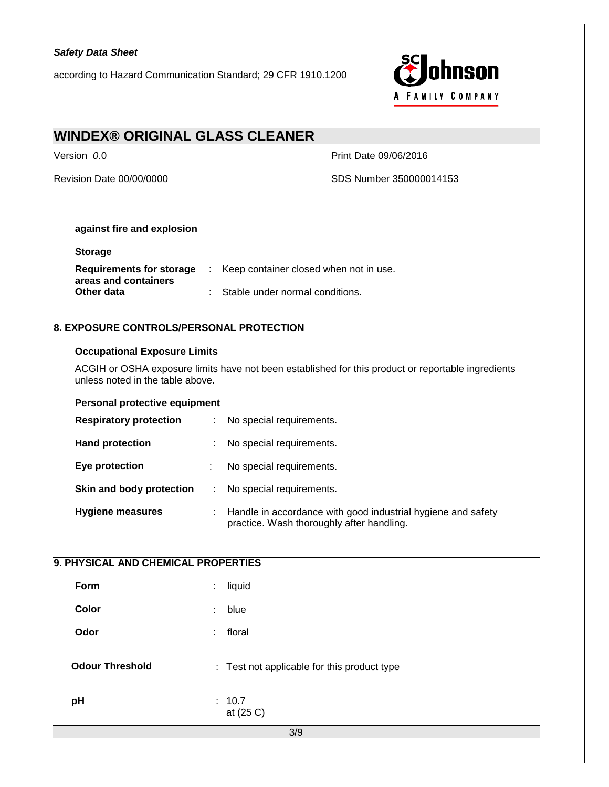according to Hazard Communication Standard; 29 CFR 1910.1200



| <b>WINDEX® ORIGINAL GLASS CLEANER</b> |                         |
|---------------------------------------|-------------------------|
| Version 0.0                           | Print Date 09/06/2016   |
| Revision Date 00/00/0000              | SDS Number 350000014153 |
| against fire and explosion            |                         |

| <b>Storage</b>                                   |                                        |
|--------------------------------------------------|----------------------------------------|
| Requirements for storage<br>areas and containers | Keep container closed when not in use. |

**Other data** : Stable under normal conditions.

# **8. EXPOSURE CONTROLS/PERSONAL PROTECTION**

## **Occupational Exposure Limits**

ACGIH or OSHA exposure limits have not been established for this product or reportable ingredients unless noted in the table above.

## **Personal protective equipment**

| <b>Respiratory protection</b> | ÷.                           | No special requirements.                                                                                  |
|-------------------------------|------------------------------|-----------------------------------------------------------------------------------------------------------|
| <b>Hand protection</b>        | ÷.                           | No special requirements.                                                                                  |
| Eye protection                |                              | No special requirements.                                                                                  |
| Skin and body protection      | $\mathcal{L}_{\mathrm{max}}$ | No special requirements.                                                                                  |
| <b>Hygiene measures</b>       | t.                           | Handle in accordance with good industrial hygiene and safety<br>practice. Wash thoroughly after handling. |

# **9. PHYSICAL AND CHEMICAL PROPERTIES**

| Form                   | ÷. | liquid                                      |
|------------------------|----|---------------------------------------------|
| Color                  | ÷  | blue                                        |
| Odor                   | ÷  | floral                                      |
| <b>Odour Threshold</b> |    | : Test not applicable for this product type |
| pH                     |    | : 10.7<br>at (25 C)                         |
|                        |    | 3/9                                         |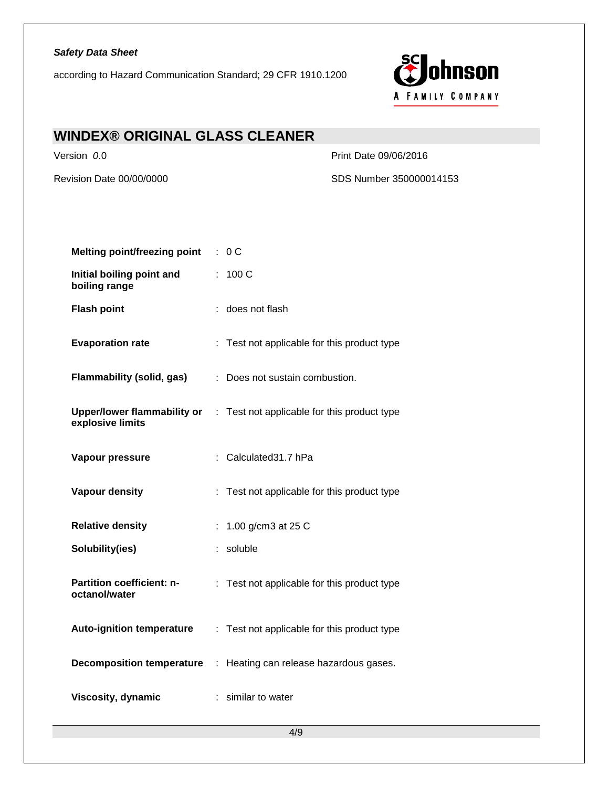according to Hazard Communication Standard; 29 CFR 1910.1200



# **WINDEX® ORIGINAL GLASS CLEANER**

Version *0*.0 Print Date 09/06/2016

Revision Date 00/00/0000 SDS Number 350000014153

| <b>Melting point/freezing point</b>        | : 0C                                                                           |
|--------------------------------------------|--------------------------------------------------------------------------------|
| Initial boiling point and<br>boiling range | : 100 C                                                                        |
| <b>Flash point</b>                         | : does not flash                                                               |
| <b>Evaporation rate</b>                    | : Test not applicable for this product type                                    |
| Flammability (solid, gas)                  | : Does not sustain combustion.                                                 |
| explosive limits                           | <b>Upper/lower flammability or</b> : Test not applicable for this product type |
| Vapour pressure                            | : Calculated31.7 hPa                                                           |
| <b>Vapour density</b>                      | : Test not applicable for this product type                                    |
| <b>Relative density</b>                    | : $1.00$ g/cm3 at 25 C                                                         |
| Solubility(ies)                            | : soluble                                                                      |
| Partition coefficient: n-<br>octanol/water | : Test not applicable for this product type                                    |
| <b>Auto-ignition temperature</b>           | : Test not applicable for this product type                                    |
|                                            | <b>Decomposition temperature : Heating can release hazardous gases.</b>        |
| Viscosity, dynamic                         | : similar to water                                                             |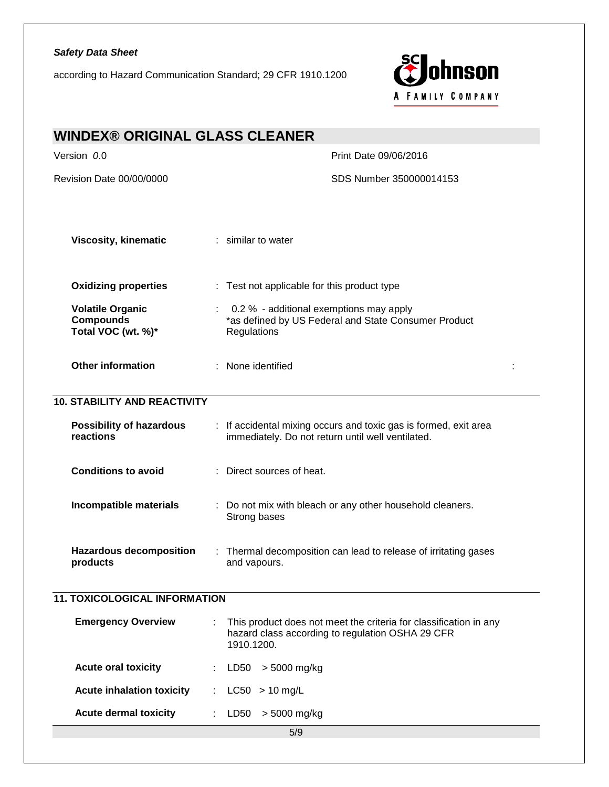according to Hazard Communication Standard; 29 CFR 1910.1200



| <b>WINDEX® ORIGINAL GLASS CLEANER</b>                             |                                                                                                                                     |  |  |  |
|-------------------------------------------------------------------|-------------------------------------------------------------------------------------------------------------------------------------|--|--|--|
| Version 0.0                                                       | Print Date 09/06/2016                                                                                                               |  |  |  |
| Revision Date 00/00/0000                                          | SDS Number 350000014153                                                                                                             |  |  |  |
|                                                                   |                                                                                                                                     |  |  |  |
| <b>Viscosity, kinematic</b>                                       | : similar to water                                                                                                                  |  |  |  |
| <b>Oxidizing properties</b>                                       | : Test not applicable for this product type                                                                                         |  |  |  |
| <b>Volatile Organic</b><br><b>Compounds</b><br>Total VOC (wt. %)* | 0.2 % - additional exemptions may apply<br>*as defined by US Federal and State Consumer Product<br>Regulations                      |  |  |  |
| <b>Other information</b>                                          | : None identified<br>÷                                                                                                              |  |  |  |
| <b>10. STABILITY AND REACTIVITY</b>                               |                                                                                                                                     |  |  |  |
| <b>Possibility of hazardous</b><br>reactions                      | : If accidental mixing occurs and toxic gas is formed, exit area<br>immediately. Do not return until well ventilated.               |  |  |  |
| <b>Conditions to avoid</b>                                        | : Direct sources of heat.                                                                                                           |  |  |  |
| <b>Incompatible materials</b>                                     | : Do not mix with bleach or any other household cleaners.<br>Strong bases                                                           |  |  |  |
| <b>Hazardous decomposition</b><br>products                        | : Thermal decomposition can lead to release of irritating gases<br>and vapours.                                                     |  |  |  |
| <b>11. TOXICOLOGICAL INFORMATION</b>                              |                                                                                                                                     |  |  |  |
| <b>Emergency Overview</b>                                         | This product does not meet the criteria for classification in any<br>hazard class according to regulation OSHA 29 CFR<br>1910.1200. |  |  |  |
| <b>Acute oral toxicity</b>                                        | LD50 > 5000 mg/kg                                                                                                                   |  |  |  |
| <b>Acute inhalation toxicity</b>                                  | $LC50 > 10$ mg/L<br>÷                                                                                                               |  |  |  |
| <b>Acute dermal toxicity</b>                                      | LD50 > 5000 mg/kg                                                                                                                   |  |  |  |
|                                                                   | 5/9                                                                                                                                 |  |  |  |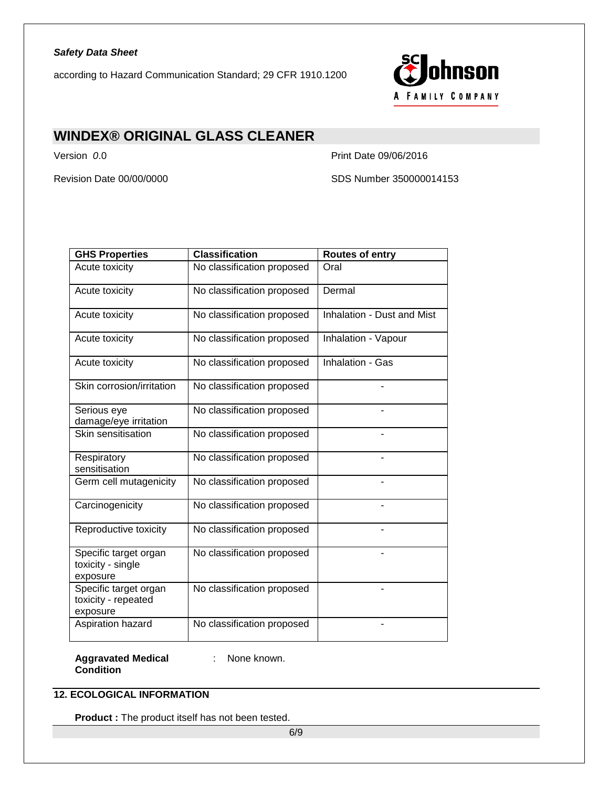according to Hazard Communication Standard; 29 CFR 1910.1200



# **WINDEX® ORIGINAL GLASS CLEANER**

Version *0*.0 Print Date 09/06/2016

Revision Date 00/00/0000 SDS Number 350000014153

| <b>GHS Properties</b>                                    | <b>Classification</b>      | <b>Routes of entry</b>     |
|----------------------------------------------------------|----------------------------|----------------------------|
| Acute toxicity                                           | No classification proposed | Oral                       |
| Acute toxicity                                           | No classification proposed | Dermal                     |
| Acute toxicity                                           | No classification proposed | Inhalation - Dust and Mist |
| Acute toxicity                                           | No classification proposed | Inhalation - Vapour        |
| Acute toxicity                                           | No classification proposed | Inhalation - Gas           |
| Skin corrosion/irritation                                | No classification proposed |                            |
| Serious eye<br>damage/eye irritation                     | No classification proposed |                            |
| Skin sensitisation                                       | No classification proposed |                            |
| Respiratory<br>sensitisation                             | No classification proposed |                            |
| Germ cell mutagenicity                                   | No classification proposed |                            |
| Carcinogenicity                                          | No classification proposed |                            |
| Reproductive toxicity                                    | No classification proposed |                            |
| Specific target organ<br>toxicity - single<br>exposure   | No classification proposed |                            |
| Specific target organ<br>toxicity - repeated<br>exposure | No classification proposed |                            |
| Aspiration hazard                                        | No classification proposed |                            |

**Aggravated Medical**  : None known. **Condition**

# **12. ECOLOGICAL INFORMATION**

**Product :** The product itself has not been tested.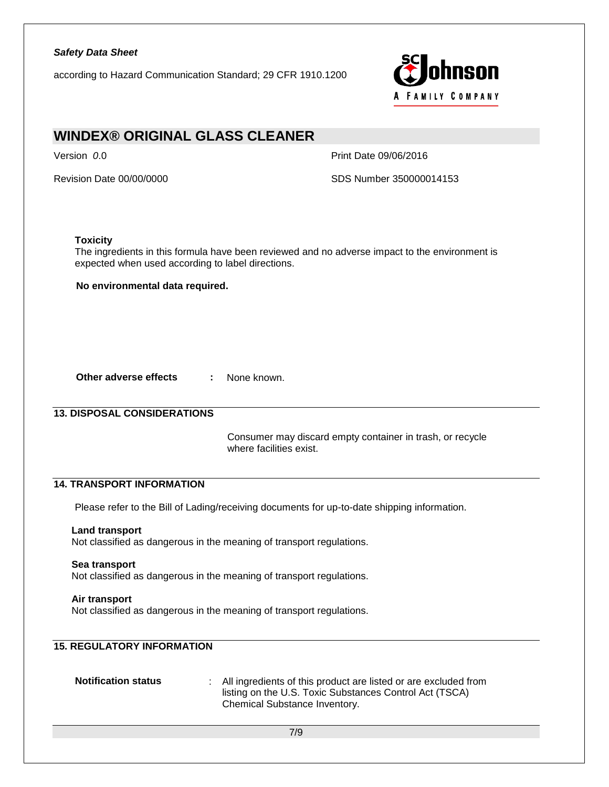according to Hazard Communication Standard; 29 CFR 1910.1200



# **WINDEX® ORIGINAL GLASS CLEANER**

Version *0*.0 Print Date 09/06/2016

Revision Date 00/00/0000 SDS Number 350000014153

## **Toxicity**

The ingredients in this formula have been reviewed and no adverse impact to the environment is expected when used according to label directions.

**No environmental data required.** 

**Other adverse effects :** None known.

# **13. DISPOSAL CONSIDERATIONS**

Consumer may discard empty container in trash, or recycle where facilities exist.

# **14. TRANSPORT INFORMATION**

Please refer to the Bill of Lading/receiving documents for up-to-date shipping information.

#### **Land transport**

Not classified as dangerous in the meaning of transport regulations.

#### **Sea transport**

Not classified as dangerous in the meaning of transport regulations.

#### **Air transport**

Not classified as dangerous in the meaning of transport regulations.

# **15. REGULATORY INFORMATION**

**Notification status** : All ingredients of this product are listed or are excluded from listing on the U.S. Toxic Substances Control Act (TSCA) Chemical Substance Inventory.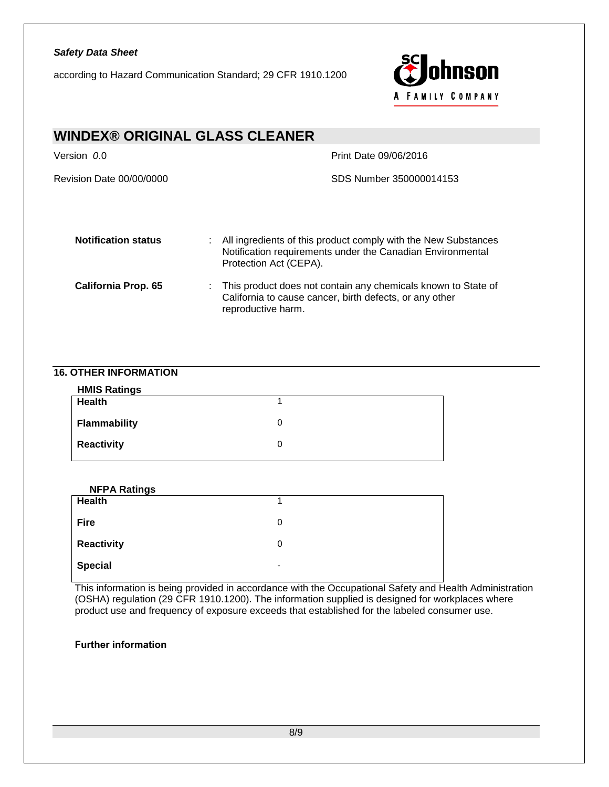according to Hazard Communication Standard; 29 CFR 1910.1200



| <b>WINDEX® ORIGINAL GLASS CLEANER</b> |                                                                                                                                                        |  |  |
|---------------------------------------|--------------------------------------------------------------------------------------------------------------------------------------------------------|--|--|
| Version 0.0                           | Print Date 09/06/2016                                                                                                                                  |  |  |
| Revision Date 00/00/0000              | SDS Number 350000014153                                                                                                                                |  |  |
| <b>Notification status</b><br>÷.      | All ingredients of this product comply with the New Substances<br>Notification requirements under the Canadian Environmental<br>Protection Act (CEPA). |  |  |
| <b>California Prop. 65</b>            | This product does not contain any chemicals known to State of<br>California to cause cancer, birth defects, or any other<br>reproductive harm.         |  |  |

# **16. OTHER INFORMATION**

| <b>HMIS Ratings</b> |  |
|---------------------|--|
| Health              |  |
| <b>Flammability</b> |  |
| <b>Reactivity</b>   |  |

| <b>NFPA Ratings</b> |                          |  |
|---------------------|--------------------------|--|
| <b>Health</b>       |                          |  |
| <b>Fire</b>         | 0                        |  |
| Reactivity          | 0                        |  |
| <b>Special</b>      | $\overline{\phantom{a}}$ |  |

This information is being provided in accordance with the Occupational Safety and Health Administration (OSHA) regulation (29 CFR 1910.1200). The information supplied is designed for workplaces where product use and frequency of exposure exceeds that established for the labeled consumer use.

# **Further information**